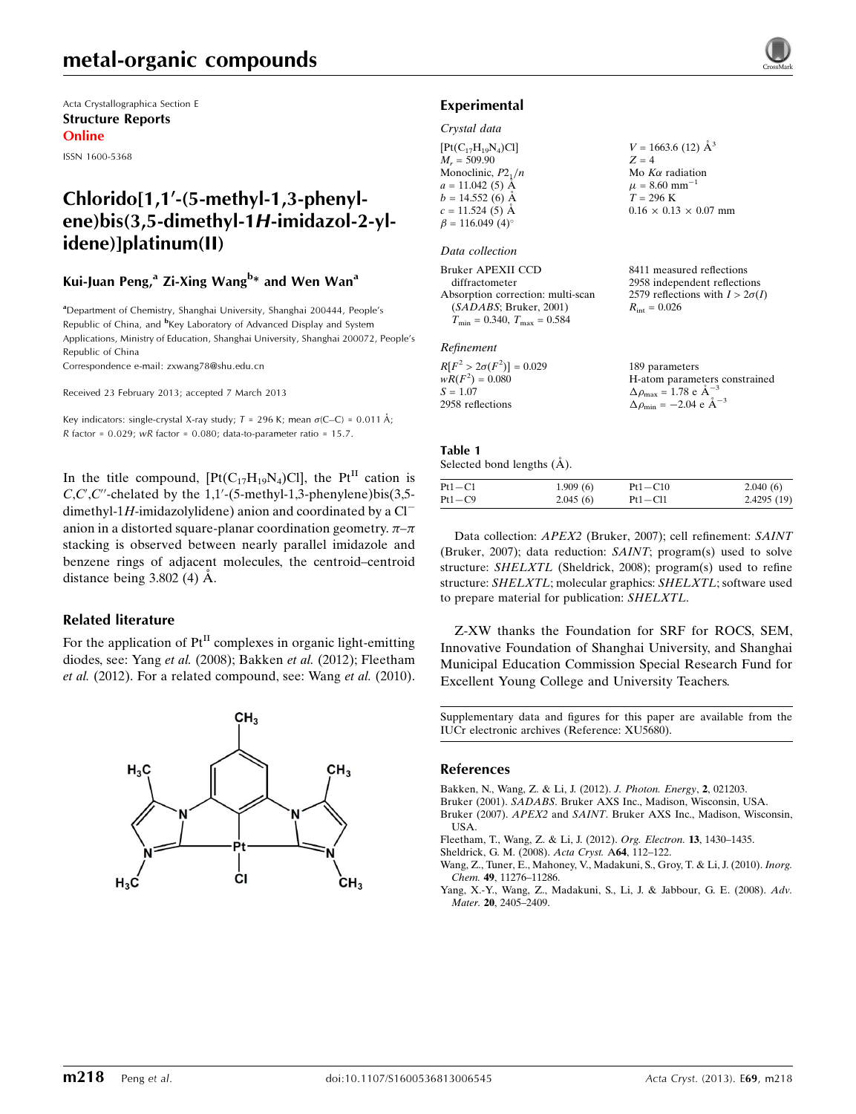Acta Crystallographica Section E Structure Reports Online

ISSN 1600-5368

## $Chlorido[1,1'-15-methyl-1,3-phenvl$ ene)bis(3,5-dimethyl-1H-imidazol-2-ylidene)]platinum(II)

## Kui-Juan Peng,<sup>a</sup> Zi-Xing Wang<sup>b</sup>\* and Wen Wan<sup>a</sup>

<sup>a</sup>Department of Chemistry, Shanghai University, Shanghai 200444, People's Republic of China, and <sup>b</sup>Key Laboratory of Advanced Display and System Applications, Ministry of Education, Shanghai University, Shanghai 200072, People's Republic of China

Correspondence e-mail: [zxwang78@shu.edu.cn](https://scripts.iucr.org/cgi-bin/cr.cgi?rm=pdfbb&cnor=xu5680&bbid=BB7)

Received 23 February 2013; accepted 7 March 2013

Key indicators: single-crystal X-ray study;  $T = 296$  K; mean  $\sigma$ (C–C) = 0.011 Å;  $R$  factor = 0.029;  $wR$  factor = 0.080; data-to-parameter ratio = 15.7.

In the title compound,  $[Pt(C_{17}H_{19}N_4)Cl]$ , the Pt<sup>II</sup> cation is  $C, C', C''$ -chelated by the 1,1'-(5-methyl-1,3-phenylene)bis(3,5dimethyl-1H-imidazolylidene) anion and coordinated by a  $Cl^$ anion in a distorted square-planar coordination geometry.  $\pi-\pi$ stacking is observed between nearly parallel imidazole and benzene rings of adjacent molecules, the centroid–centroid distance being  $3.802$  (4)  $\AA$ .

### Related literature

For the application of  $Pt<sup>H</sup>$  complexes in organic light-emitting diodes, see: Yang et al. (2008); Bakken et al. (2012); Fleetham et al. (2012). For a related compound, see: Wang et al. (2010).



### Experimental

### Crystal data

| $[Pt(C_{17}H_{19}N_4)Cl]$ | $V = 1663.6$ (12) $\AA^3$         |
|---------------------------|-----------------------------------|
| $M_r = 509.90$            | $Z = 4$                           |
| Monoclinic, $P2_1/n$      | Mo $K\alpha$ radiation            |
| $a = 11.042(5)$ Å         | $\mu = 8.60$ mm <sup>-1</sup>     |
| $b = 14.552(6)$ Å         | $T = 296$ K                       |
| $c = 11.524(5)$ Å         | $0.16 \times 0.13 \times 0.07$ mm |
| $\beta = 116.049(4)$ °    |                                   |
|                           |                                   |

### Data collection

Bruker APEXII CCD diffractometer Absorption correction: multi-scan (SADABS; Bruker, 2001)  $T_{\text{min}} = 0.340, T_{\text{max}} = 0.584$ 

### Refinement

| $R[F^2 > 2\sigma(F^2)] = 0.029$ | 189 parameters                                        |
|---------------------------------|-------------------------------------------------------|
| $wR(F^2) = 0.080$               | H-atom parameters constrained                         |
| $S = 1.07$                      | $\Delta \rho_{\text{max}} = 1.78$ e $\text{\AA}^{-3}$ |
| 2958 reflections                | $\Delta \rho_{\rm min} = -2.04 \text{ e A}^{-3}$      |

8411 measured reflections 2958 independent reflections 2579 reflections with  $I > 2\sigma(I)$ 

 $R_{\text{int}} = 0.026$ 

#### Table 1 Selected bond lengths  $(\AA)$ .

| Pt1-C1 | 1.909(6) | $Pt1 - C10$ | 2.040(6)   |  |  |
|--------|----------|-------------|------------|--|--|
| Pt1-C9 | 2.045(6) | $Pt1 - Cl1$ | 2.4295(19) |  |  |

Data collection: APEX2 (Bruker, 2007); cell refinement: SAINT (Bruker, 2007); data reduction: SAINT; program(s) used to solve structure: SHELXTL (Sheldrick, 2008); program(s) used to refine structure: SHELXTL; molecular graphics: SHELXTL; software used to prepare material for publication: SHELXTL.

Z-XW thanks the Foundation for SRF for ROCS, SEM, Innovative Foundation of Shanghai University, and Shanghai Municipal Education Commission Special Research Fund for Excellent Young College and University Teachers.

Supplementary data and figures for this paper are available from the IUCr electronic archives (Reference: XU5680).

### References

- [Bakken, N., Wang, Z. & Li, J. \(2012\).](https://scripts.iucr.org/cgi-bin/cr.cgi?rm=pdfbb&cnor=xu5680&bbid=BB1) J. Photon. Energy, 2, 021203.
- Bruker (2001). SADABS[. Bruker AXS Inc., Madison, Wisconsin, USA.](https://scripts.iucr.org/cgi-bin/cr.cgi?rm=pdfbb&cnor=xu5680&bbid=BB2)
- Bruker (2007). APEX2 and SAINT[. Bruker AXS Inc., Madison, Wisconsin,](https://scripts.iucr.org/cgi-bin/cr.cgi?rm=pdfbb&cnor=xu5680&bbid=BB3) [USA.](https://scripts.iucr.org/cgi-bin/cr.cgi?rm=pdfbb&cnor=xu5680&bbid=BB3)
- [Fleetham, T., Wang, Z. & Li, J. \(2012\).](https://scripts.iucr.org/cgi-bin/cr.cgi?rm=pdfbb&cnor=xu5680&bbid=BB4) Org. Electron. 13, 1430–1435.
- [Sheldrick, G. M. \(2008\).](https://scripts.iucr.org/cgi-bin/cr.cgi?rm=pdfbb&cnor=xu5680&bbid=BB5) Acta Cryst. A64, 112–122.
- [Wang, Z., Tuner, E., Mahoney, V., Madakuni, S., Groy, T. & Li, J. \(2010\).](https://scripts.iucr.org/cgi-bin/cr.cgi?rm=pdfbb&cnor=xu5680&bbid=BB6) Inorg. Chem. 49[, 11276–11286.](https://scripts.iucr.org/cgi-bin/cr.cgi?rm=pdfbb&cnor=xu5680&bbid=BB6)
- [Yang, X.-Y., Wang, Z., Madakuni, S., Li, J. & Jabbour, G. E. \(2008\).](https://scripts.iucr.org/cgi-bin/cr.cgi?rm=pdfbb&cnor=xu5680&bbid=BB7) Adv. Mater. 20[, 2405–2409.](https://scripts.iucr.org/cgi-bin/cr.cgi?rm=pdfbb&cnor=xu5680&bbid=BB7)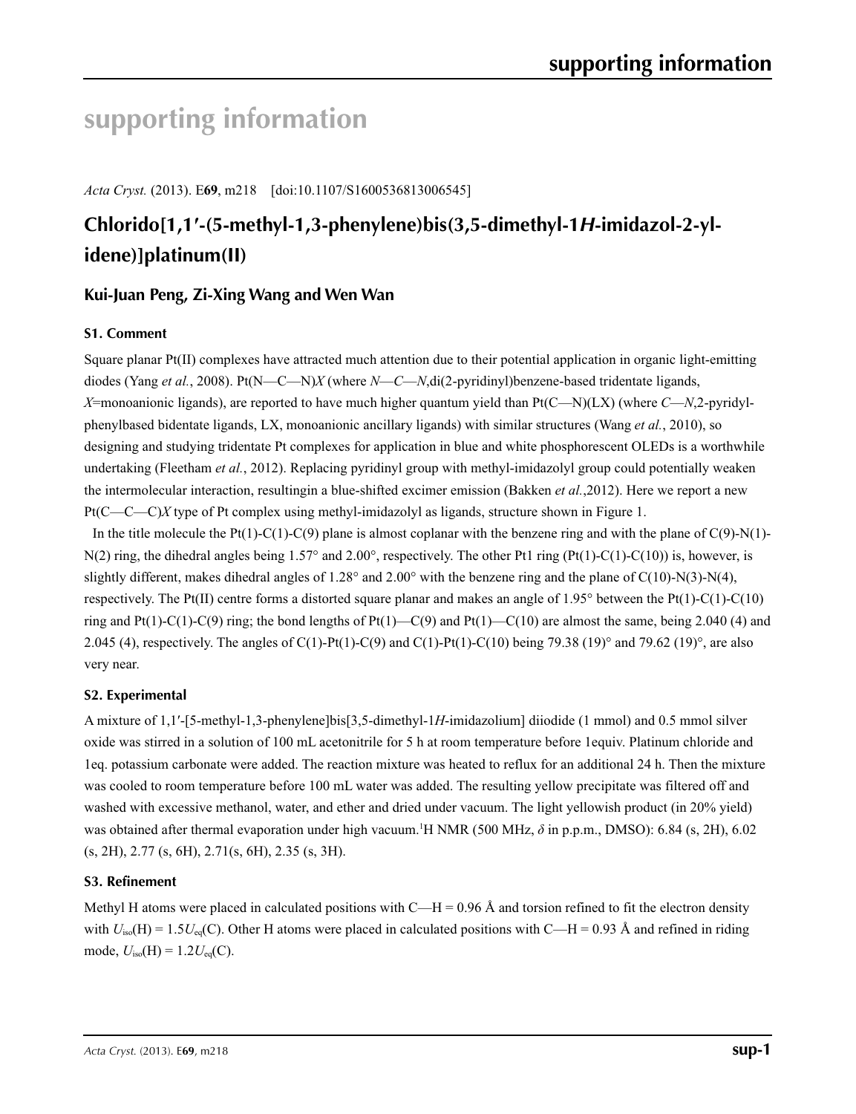# **supporting information**

*Acta Cryst.* (2013). E**69**, m218 [doi:10.1107/S1600536813006545]

# **Chlorido[1,1′-(5-methyl-1,3-phenylene)bis(3,5-dimethyl-1***H***-imidazol-2-ylidene)]platinum(II)**

## **Kui-Juan Peng, Zi-Xing Wang and Wen Wan**

## **S1. Comment**

Square planar Pt(II) complexes have attracted much attention due to their potential application in organic light-emitting diodes (Yang *et al.*, 2008). Pt(N—C—N)*X* (where *N*—*C*—*N*,di(2-pyridinyl)benzene-based tridentate ligands, *X*=monoanionic ligands), are reported to have much higher quantum yield than Pt(C—N)(LX) (where *C*—*N*,2-pyridylphenylbased bidentate ligands, LX, monoanionic ancillary ligands) with similar structures (Wang *et al.*, 2010), so designing and studying tridentate Pt complexes for application in blue and white phosphorescent OLEDs is a worthwhile undertaking (Fleetham *et al.*, 2012). Replacing pyridinyl group with methyl-imidazolyl group could potentially weaken the intermolecular interaction, resultingin a blue-shifted excimer emission (Bakken *et al.*,2012). Here we report a new Pt(C—C—C)*X* type of Pt complex using methyl-imidazolyl as ligands, structure shown in Figure 1.

In the title molecule the Pt(1)-C(1)-C(9) plane is almost coplanar with the benzene ring and with the plane of C(9)-N(1)- $N(2)$  ring, the dihedral angles being 1.57° and 2.00°, respectively. The other Pt1 ring (Pt(1)-C(1)-C(10)) is, however, is slightly different, makes dihedral angles of  $1.28^\circ$  and  $2.00^\circ$  with the benzene ring and the plane of C(10)-N(3)-N(4), respectively. The Pt(II) centre forms a distorted square planar and makes an angle of  $1.95^\circ$  between the Pt(1)-C(1)-C(10) ring and Pt(1)-C(1)-C(9) ring; the bond lengths of Pt(1)—C(9) and Pt(1)—C(10) are almost the same, being 2.040 (4) and 2.045 (4), respectively. The angles of C(1)-Pt(1)-C(9) and C(1)-Pt(1)-C(10) being 79.38 (19)° and 79.62 (19)°, are also very near.

## **S2. Experimental**

A mixture of 1,1′-[5-methyl-1,3-phenylene]bis[3,5-dimethyl-1*H*-imidazolium] diiodide (1 mmol) and 0.5 mmol silver oxide was stirred in a solution of 100 mL acetonitrile for 5 h at room temperature before 1equiv. Platinum chloride and 1eq. potassium carbonate were added. The reaction mixture was heated to reflux for an additional 24 h. Then the mixture was cooled to room temperature before 100 mL water was added. The resulting yellow precipitate was filtered off and washed with excessive methanol, water, and ether and dried under vacuum. The light yellowish product (in 20% yield) was obtained after thermal evaporation under high vacuum.<sup>1</sup>H NMR (500 MHz, δ in p.p.m., DMSO): 6.84 (s, 2H), 6.02 (s, 2H), 2.77 (s, 6H), 2.71(s, 6H), 2.35 (s, 3H).

### **S3. Refinement**

Methyl H atoms were placed in calculated positions with  $C-H = 0.96 \text{ Å}$  and torsion refined to fit the electron density with  $U_{\text{iso}}(H) = 1.5U_{\text{eq}}(C)$ . Other H atoms were placed in calculated positions with C—H = 0.93 Å and refined in riding mode,  $U_{\text{iso}}(H) = 1.2 U_{\text{eq}}(C)$ .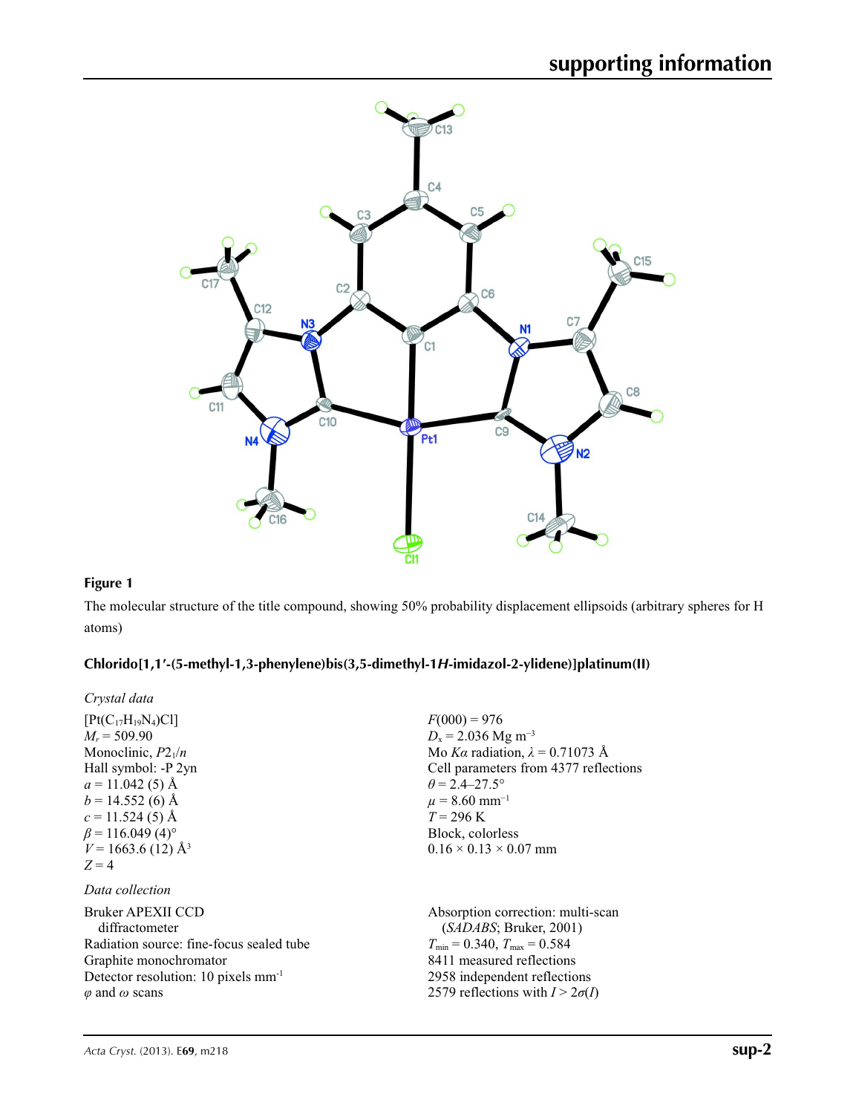

### **Figure 1**

The molecular structure of the title compound, showing 50% probability displacement ellipsoids (arbitrary spheres for H atoms)

## **Chlorido[1,1′-(5-methyl-1,3-phenylene)bis(3,5-dimethyl-1***H***-imidazol-2-ylidene)]platinum(II)**

*Crystal data*

| $[Pt(C_{17}H_{19}N_4)Cl]$<br>$M_r = 509.90$<br>Monoclinic, $P2_1/n$<br>Hall symbol: -P 2yn<br>$a = 11.042(5)$ Å<br>$b = 14.552(6)$ Å<br>$c = 11.524(5)$ Å<br>$\beta$ = 116.049 (4) <sup>o</sup><br>$V = 1663.6(12)$ Å <sup>3</sup><br>$Z = 4$ | $F(000) = 976$<br>$D_x = 2.036$ Mg m <sup>-3</sup><br>Mo Ka radiation, $\lambda = 0.71073$ Å<br>Cell parameters from 4377 reflections<br>$\theta$ = 2.4–27.5°<br>$\mu$ = 8.60 mm <sup>-1</sup><br>$T = 296 \text{ K}$<br>Block, colorless<br>$0.16 \times 0.13 \times 0.07$ mm |
|-----------------------------------------------------------------------------------------------------------------------------------------------------------------------------------------------------------------------------------------------|--------------------------------------------------------------------------------------------------------------------------------------------------------------------------------------------------------------------------------------------------------------------------------|
| Data collection                                                                                                                                                                                                                               |                                                                                                                                                                                                                                                                                |
| Bruker APEXII CCD<br>diffractometer<br>Radiation source: fine-focus sealed tube<br>Graphite monochromator<br>Detector resolution: 10 pixels $mm-1$<br>$\varphi$ and $\omega$ scans                                                            | Absorption correction: multi-scan<br>(SADABS; Bruker, 2001)<br>$T_{\text{min}} = 0.340$ , $T_{\text{max}} = 0.584$<br>8411 measured reflections<br>2958 independent reflections<br>2579 reflections with $I > 2\sigma(I)$                                                      |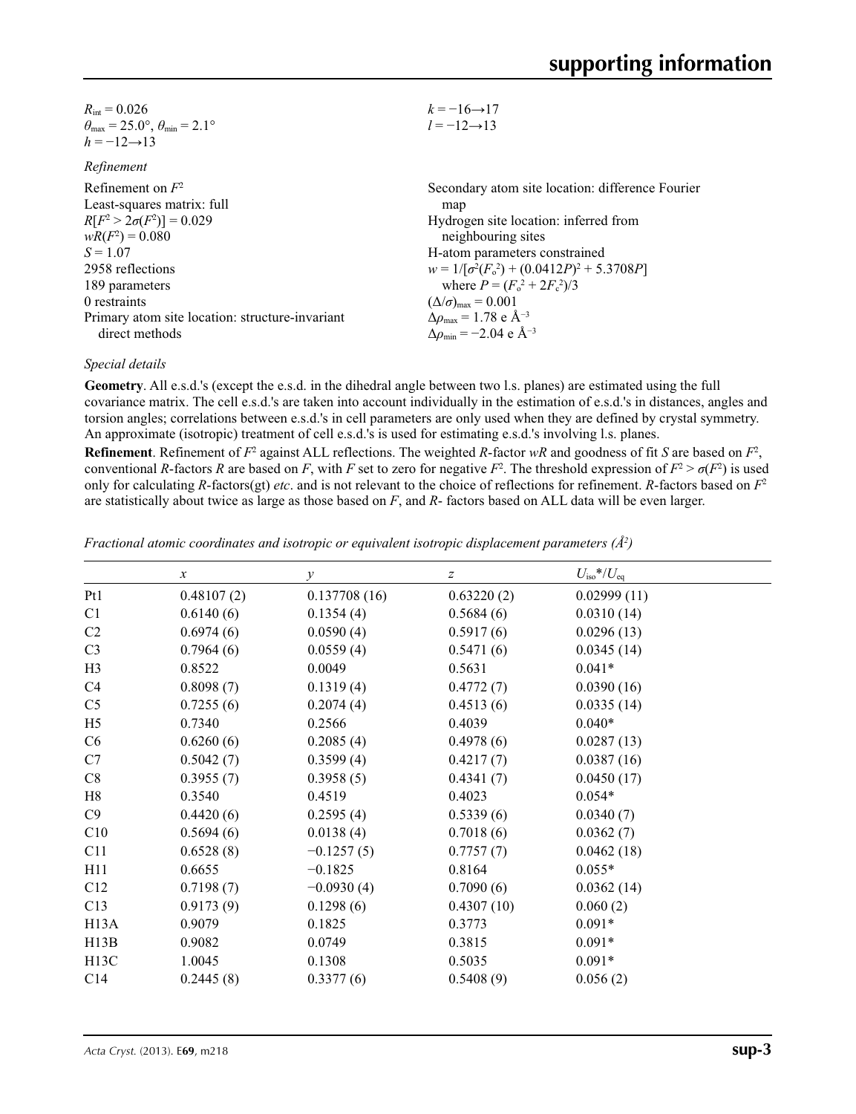| $R_{\text{int}} = 0.026$                                                   | $k = -16 \rightarrow 17$                                  |
|----------------------------------------------------------------------------|-----------------------------------------------------------|
| $\theta_{\text{max}} = 25.0^{\circ}$ , $\theta_{\text{min}} = 2.1^{\circ}$ | $l = -12 \rightarrow 13$                                  |
| $h = -12 \rightarrow 13$                                                   |                                                           |
| Refinement                                                                 |                                                           |
| Refinement on $F2$                                                         | Secondary atom site location: difference Fourier          |
| Least-squares matrix: full                                                 | map                                                       |
| $R[F^2 > 2\sigma(F^2)] = 0.029$                                            | Hydrogen site location: inferred from                     |
| $wR(F^2) = 0.080$                                                          | neighbouring sites                                        |
| $S = 1.07$                                                                 | H-atom parameters constrained                             |
| 2958 reflections                                                           | $w = 1/[\sigma^2(F_0^2) + (0.0412P)^2 + 5.3708P]$         |
| 189 parameters                                                             | where $P = (F_0^2 + 2F_c^2)/3$                            |
| 0 restraints                                                               | $(\Delta/\sigma)_{\text{max}} = 0.001$                    |
| Primary atom site location: structure-invariant                            | $\Delta\rho_{\rm max}$ = 1.78 e Å <sup>-3</sup>           |
| direct methods                                                             | $\Delta\rho_{\rm min} = -2.04 \text{ e } \text{\AA}^{-3}$ |
|                                                                            |                                                           |

### *Special details*

**Geometry**. All e.s.d.'s (except the e.s.d. in the dihedral angle between two l.s. planes) are estimated using the full covariance matrix. The cell e.s.d.'s are taken into account individually in the estimation of e.s.d.'s in distances, angles and torsion angles; correlations between e.s.d.'s in cell parameters are only used when they are defined by crystal symmetry. An approximate (isotropic) treatment of cell e.s.d.'s is used for estimating e.s.d.'s involving l.s. planes.

**Refinement**. Refinement of  $F^2$  against ALL reflections. The weighted *R*-factor  $wR$  and goodness of fit *S* are based on  $F^2$ , conventional *R*-factors *R* are based on *F*, with *F* set to zero for negative *F*<sup>2</sup>. The threshold expression of  $F^2 > \sigma(F^2)$  is used only for calculating *R*-factors(gt) *etc*. and is not relevant to the choice of reflections for refinement. *R*-factors based on *F*<sup>2</sup> are statistically about twice as large as those based on *F*, and *R*- factors based on ALL data will be even larger.

*Fractional atomic coordinates and isotropic or equivalent isotropic displacement parameters (Å2 )*

|                   | $\boldsymbol{x}$ | $\mathcal{Y}$ | z          | $U_{\rm iso}*/U_{\rm eq}$ |  |
|-------------------|------------------|---------------|------------|---------------------------|--|
| Pt1               | 0.48107(2)       | 0.137708(16)  | 0.63220(2) | 0.02999(11)               |  |
| C1                | 0.6140(6)        | 0.1354(4)     | 0.5684(6)  | 0.0310(14)                |  |
| C <sub>2</sub>    | 0.6974(6)        | 0.0590(4)     | 0.5917(6)  | 0.0296(13)                |  |
| C <sub>3</sub>    | 0.7964(6)        | 0.0559(4)     | 0.5471(6)  | 0.0345(14)                |  |
| H <sub>3</sub>    | 0.8522           | 0.0049        | 0.5631     | $0.041*$                  |  |
| C4                | 0.8098(7)        | 0.1319(4)     | 0.4772(7)  | 0.0390(16)                |  |
| C <sub>5</sub>    | 0.7255(6)        | 0.2074(4)     | 0.4513(6)  | 0.0335(14)                |  |
| H <sub>5</sub>    | 0.7340           | 0.2566        | 0.4039     | $0.040*$                  |  |
| C <sub>6</sub>    | 0.6260(6)        | 0.2085(4)     | 0.4978(6)  | 0.0287(13)                |  |
| C7                | 0.5042(7)        | 0.3599(4)     | 0.4217(7)  | 0.0387(16)                |  |
| C8                | 0.3955(7)        | 0.3958(5)     | 0.4341(7)  | 0.0450(17)                |  |
| H8                | 0.3540           | 0.4519        | 0.4023     | $0.054*$                  |  |
| C9                | 0.4420(6)        | 0.2595(4)     | 0.5339(6)  | 0.0340(7)                 |  |
| C10               | 0.5694(6)        | 0.0138(4)     | 0.7018(6)  | 0.0362(7)                 |  |
| C11               | 0.6528(8)        | $-0.1257(5)$  | 0.7757(7)  | 0.0462(18)                |  |
| H11               | 0.6655           | $-0.1825$     | 0.8164     | $0.055*$                  |  |
| C12               | 0.7198(7)        | $-0.0930(4)$  | 0.7090(6)  | 0.0362(14)                |  |
| C13               | 0.9173(9)        | 0.1298(6)     | 0.4307(10) | 0.060(2)                  |  |
| H <sub>13</sub> A | 0.9079           | 0.1825        | 0.3773     | $0.091*$                  |  |
| H13B              | 0.9082           | 0.0749        | 0.3815     | $0.091*$                  |  |
| H13C              | 1.0045           | 0.1308        | 0.5035     | $0.091*$                  |  |
| C14               | 0.2445(8)        | 0.3377(6)     | 0.5408(9)  | 0.056(2)                  |  |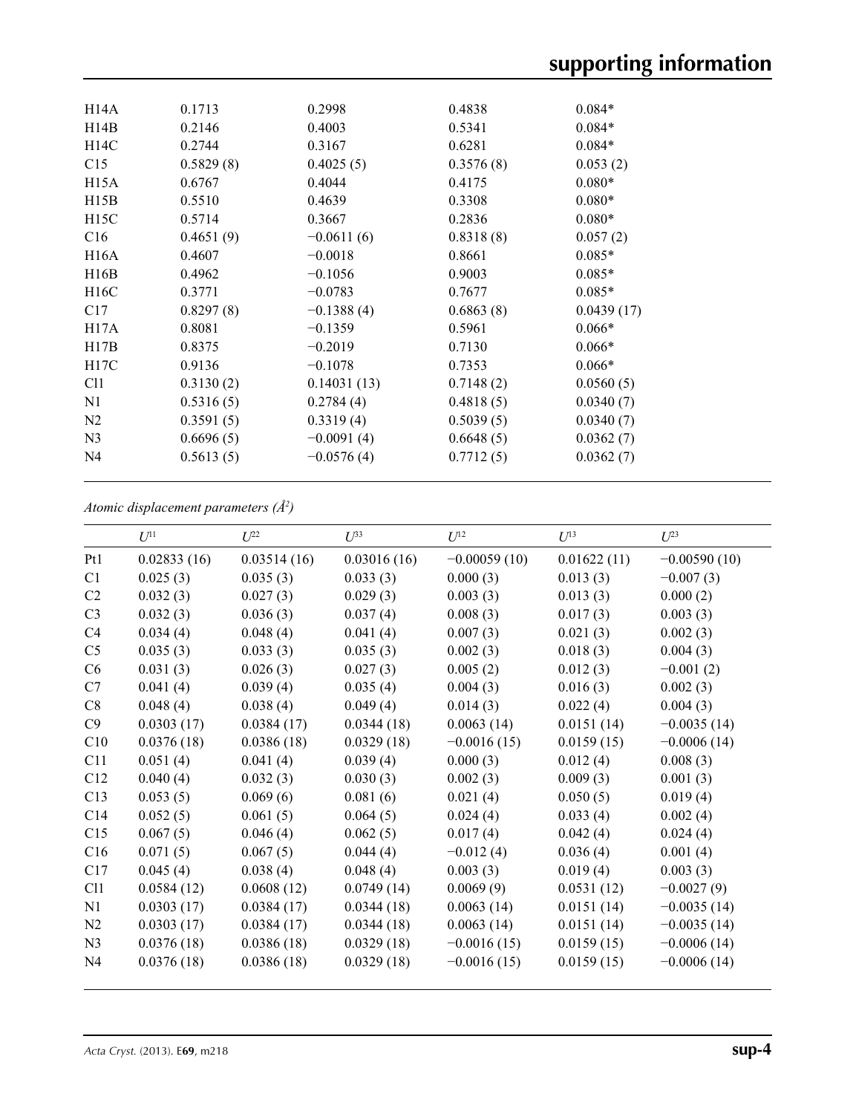| H <sub>14</sub> A | 0.1713    | 0.2998       | 0.4838    | $0.084*$   |  |
|-------------------|-----------|--------------|-----------|------------|--|
| H14B              | 0.2146    | 0.4003       | 0.5341    | $0.084*$   |  |
| H14C              | 0.2744    | 0.3167       | 0.6281    | $0.084*$   |  |
| C15               | 0.5829(8) | 0.4025(5)    | 0.3576(8) | 0.053(2)   |  |
| H15A              | 0.6767    | 0.4044       | 0.4175    | $0.080*$   |  |
| H15B              | 0.5510    | 0.4639       | 0.3308    | $0.080*$   |  |
| H15C              | 0.5714    | 0.3667       | 0.2836    | $0.080*$   |  |
| C16               | 0.4651(9) | $-0.0611(6)$ | 0.8318(8) | 0.057(2)   |  |
| <b>H16A</b>       | 0.4607    | $-0.0018$    | 0.8661    | $0.085*$   |  |
| H16B              | 0.4962    | $-0.1056$    | 0.9003    | $0.085*$   |  |
| H16C              | 0.3771    | $-0.0783$    | 0.7677    | $0.085*$   |  |
| C17               | 0.8297(8) | $-0.1388(4)$ | 0.6863(8) | 0.0439(17) |  |
| H17A              | 0.8081    | $-0.1359$    | 0.5961    | $0.066*$   |  |
| H17B              | 0.8375    | $-0.2019$    | 0.7130    | $0.066*$   |  |
| H17C              | 0.9136    | $-0.1078$    | 0.7353    | $0.066*$   |  |
| C <sub>11</sub>   | 0.3130(2) | 0.14031(13)  | 0.7148(2) | 0.0560(5)  |  |
| N <sub>1</sub>    | 0.5316(5) | 0.2784(4)    | 0.4818(5) | 0.0340(7)  |  |
| N <sub>2</sub>    | 0.3591(5) | 0.3319(4)    | 0.5039(5) | 0.0340(7)  |  |
| N <sub>3</sub>    | 0.6696(5) | $-0.0091(4)$ | 0.6648(5) | 0.0362(7)  |  |
| N <sub>4</sub>    | 0.5613(5) | $-0.0576(4)$ | 0.7712(5) | 0.0362(7)  |  |
|                   |           |              |           |            |  |

*Atomic displacement parameters (Å2 )*

|                | $U^{11}$    | $L^{22}$    | $\mathcal{L}^{\beta 3}$ | $U^{12}$       | $U^{13}$    | $I^{23}$       |
|----------------|-------------|-------------|-------------------------|----------------|-------------|----------------|
| Pt1            | 0.02833(16) | 0.03514(16) | 0.03016(16)             | $-0.00059(10)$ | 0.01622(11) | $-0.00590(10)$ |
| C1             | 0.025(3)    | 0.035(3)    | 0.033(3)                | 0.000(3)       | 0.013(3)    | $-0.007(3)$    |
| C <sub>2</sub> | 0.032(3)    | 0.027(3)    | 0.029(3)                | 0.003(3)       | 0.013(3)    | 0.000(2)       |
| C <sub>3</sub> | 0.032(3)    | 0.036(3)    | 0.037(4)                | 0.008(3)       | 0.017(3)    | 0.003(3)       |
| C4             | 0.034(4)    | 0.048(4)    | 0.041(4)                | 0.007(3)       | 0.021(3)    | 0.002(3)       |
| C <sub>5</sub> | 0.035(3)    | 0.033(3)    | 0.035(3)                | 0.002(3)       | 0.018(3)    | 0.004(3)       |
| C6             | 0.031(3)    | 0.026(3)    | 0.027(3)                | 0.005(2)       | 0.012(3)    | $-0.001(2)$    |
| C7             | 0.041(4)    | 0.039(4)    | 0.035(4)                | 0.004(3)       | 0.016(3)    | 0.002(3)       |
| C8             | 0.048(4)    | 0.038(4)    | 0.049(4)                | 0.014(3)       | 0.022(4)    | 0.004(3)       |
| C9             | 0.0303(17)  | 0.0384(17)  | 0.0344(18)              | 0.0063(14)     | 0.0151(14)  | $-0.0035(14)$  |
| C10            | 0.0376(18)  | 0.0386(18)  | 0.0329(18)              | $-0.0016(15)$  | 0.0159(15)  | $-0.0006(14)$  |
| C11            | 0.051(4)    | 0.041(4)    | 0.039(4)                | 0.000(3)       | 0.012(4)    | 0.008(3)       |
| C12            | 0.040(4)    | 0.032(3)    | 0.030(3)                | 0.002(3)       | 0.009(3)    | 0.001(3)       |
| C13            | 0.053(5)    | 0.069(6)    | 0.081(6)                | 0.021(4)       | 0.050(5)    | 0.019(4)       |
| C14            | 0.052(5)    | 0.061(5)    | 0.064(5)                | 0.024(4)       | 0.033(4)    | 0.002(4)       |
| C15            | 0.067(5)    | 0.046(4)    | 0.062(5)                | 0.017(4)       | 0.042(4)    | 0.024(4)       |
| C16            | 0.071(5)    | 0.067(5)    | 0.044(4)                | $-0.012(4)$    | 0.036(4)    | 0.001(4)       |
| C17            | 0.045(4)    | 0.038(4)    | 0.048(4)                | 0.003(3)       | 0.019(4)    | 0.003(3)       |
| C11            | 0.0584(12)  | 0.0608(12)  | 0.0749(14)              | 0.0069(9)      | 0.0531(12)  | $-0.0027(9)$   |
| N1             | 0.0303(17)  | 0.0384(17)  | 0.0344(18)              | 0.0063(14)     | 0.0151(14)  | $-0.0035(14)$  |
| N <sub>2</sub> | 0.0303(17)  | 0.0384(17)  | 0.0344(18)              | 0.0063(14)     | 0.0151(14)  | $-0.0035(14)$  |
| N <sub>3</sub> | 0.0376(18)  | 0.0386(18)  | 0.0329(18)              | $-0.0016(15)$  | 0.0159(15)  | $-0.0006(14)$  |
| N <sub>4</sub> | 0.0376(18)  | 0.0386(18)  | 0.0329(18)              | $-0.0016(15)$  | 0.0159(15)  | $-0.0006(14)$  |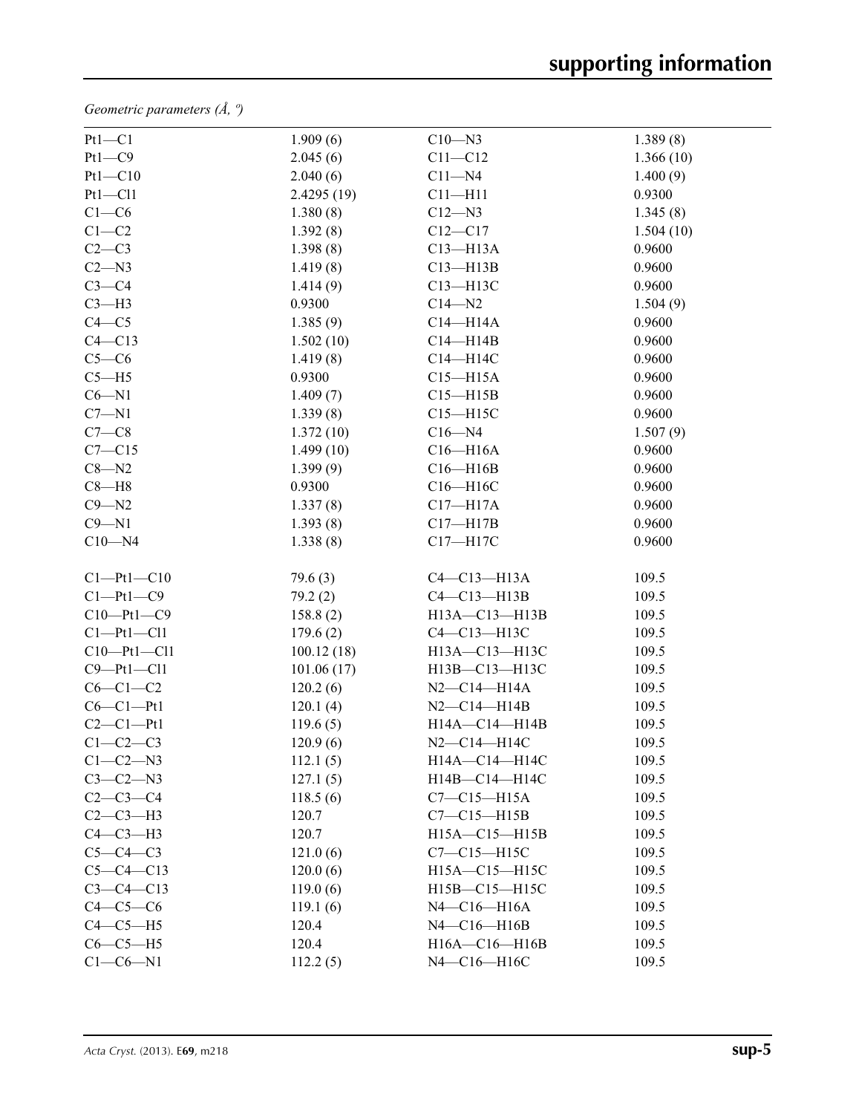*Geometric parameters (Å, º)*

| $Pt1-C1$         | 1.909(6)   | $C10$ —N3             | 1.389(8)  |
|------------------|------------|-----------------------|-----------|
| $Pt1-C9$         | 2.045(6)   | $C11 - C12$           | 1.366(10) |
| $Pt1 - C10$      | 2.040(6)   | $C11 - N4$            | 1.400(9)  |
| $Pt1 - Cl1$      | 2.4295(19) | $C11 - H11$           | 0.9300    |
| $C1-C6$          | 1.380(8)   | $C12 - N3$            | 1.345(8)  |
| $C1-C2$          | 1.392(8)   | $C12 - C17$           | 1.504(10) |
| $C2-C3$          | 1.398(8)   | $C13 - H13A$          | 0.9600    |
| $C2 - N3$        | 1.419(8)   | $C13 - H13B$          | 0.9600    |
| $C3-C4$          | 1.414(9)   | C13-H13C              | 0.9600    |
| $C3-H3$          | 0.9300     | $C14 - N2$            | 1.504(9)  |
| $C4 - C5$        | 1.385(9)   | $C14 - H14A$          | 0.9600    |
| $C4 - C13$       | 1.502(10)  | $C14 - H14B$          | 0.9600    |
| $C5-C6$          | 1.419(8)   | C14-H14C              | 0.9600    |
| $C5 - H5$        | 0.9300     | $C15 - H15A$          | 0.9600    |
| $C6 - N1$        | 1.409(7)   | $C15 - H15B$          | 0.9600    |
| $C7 - N1$        | 1.339(8)   | $C15 - H15C$          | 0.9600    |
| $C7-C8$          | 1.372(10)  | $C16 - N4$            | 1.507(9)  |
| $C7 - C15$       | 1.499(10)  | $C16 - H16A$          | 0.9600    |
| $C8 - N2$        | 1.399(9)   | $C16 - H16B$          | 0.9600    |
| $C8 - H8$        | 0.9300     | C16-H16C              | 0.9600    |
| $C9 - N2$        | 1.337(8)   | $C17 - H17A$          | 0.9600    |
| $C9 - N1$        | 1.393(8)   | $C17 - H17B$          | 0.9600    |
| $C10 - N4$       | 1.338(8)   | $C17 - H17C$          | 0.9600    |
| Cl—Pt1—Cl0       | 79.6(3)    | $C4-C13-H13A$         | 109.5     |
| $Cl-Pt1-C9$      | 79.2(2)    | $C4 - C13 - H13B$     | 109.5     |
| $C10-Pt1-C9$     | 158.8(2)   | H13A-C13-H13B         | 109.5     |
| Cl—Pt1—Cl1       | 179.6(2)   | C4-C13-H13C           | 109.5     |
| $C10-Pt1-C11$    | 100.12(18) | H13A-C13-H13C         | 109.5     |
| $C9 - Pt1 - C11$ | 101.06(17) | H13B-C13-H13C         | 109.5     |
| $C6-C1-C2$       | 120.2(6)   | $N2 - C14 - H14A$     | 109.5     |
| $C6-C1-Pt1$      | 120.1(4)   | $N2 - C14 - H14B$     | 109.5     |
| $C2-C1-Pt1$      | 119.6(5)   | H14A-C14-H14B         | 109.5     |
| $C1-C2-C3$       | 120.9(6)   | $N2 - C14 - H14C$     | 109.5     |
| $C1-C2-N3$       | 112.1(5)   | $H14A - C14 - H14C$   | 109.5     |
| $C3-C2-N3$       | 127.1(5)   | H14B-C14-H14C         | 109.5     |
| $C2-C3-C4$       | 118.5(6)   | $C7-C15-H15A$         | 109.5     |
| $C2-C3-H3$       | 120.7      | $C7-C15-H15B$         | 109.5     |
| $C4-C3-H3$       | 120.7      | H15A-C15-H15B         | 109.5     |
| $C5-C4-C3$       | 121.0(6)   | $C7-C15-H15C$         | 109.5     |
| $C5 - C4 - C13$  | 120.0(6)   | H15A-C15-H15C         | 109.5     |
| $C3 - C4 - C13$  | 119.0(6)   | H15B-C15-H15C         | 109.5     |
| $C4-C5-C6$       | 119.1(6)   | $N4$ – $C16$ – $H16A$ | 109.5     |
| $C4-C5-H5$       | 120.4      | $N4$ – $C16$ – $H16B$ | 109.5     |
| $C6-C5-H5$       | 120.4      | H16A-C16-H16B         | 109.5     |
| $C1-C6-N1$       | 112.2(5)   | N4-C16-H16C           | 109.5     |